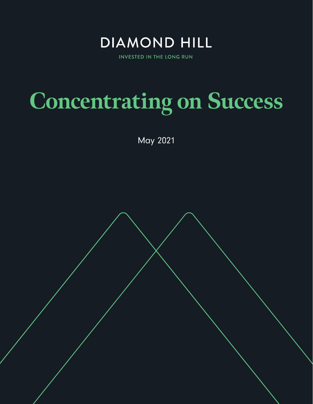

**INVESTED IN THE LONG RUN** 

# **Concentrating on Success**

May 2021

diamond-hill.com 855.255.8955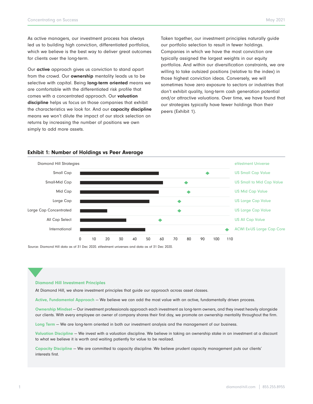As active managers, our investment process has always led us to building high conviction, differentiated portfolios, which we believe is the best way to deliver great outcomes for clients over the long-term.

Our active approach gives us conviction to stand apart from the crowd. Our ownership mentality leads us to be selective with capital. Being long-term oriented means we are comfortable with the differentiated risk profile that comes with a concentrated approach. Our valuation discipline helps us focus on those companies that exhibit the characteristics we look for. And our capacity discipline means we won't dilute the impact of our stock selection on returns by increasing the number of positions we own simply to add more assets.

Taken together, our investment principles naturally guide our portfolio selection to result in fewer holdings. Companies in which we have the most conviction are typically assigned the largest weights in our equity portfolios. And within our diversification constraints, we are willing to take outsized positions (relative to the index) in those highest conviction ideas. Conversely, we will sometimes have zero exposure to sectors or industries that don't exhibit quality, long-term cash generation potential and/or attractive valuations. Over time, we have found that our strategies typically have fewer holdings than their peers (Exhibit 1).



## Exhibit 1: Number of Holdings vs Peer Average

Source: Diamond Hill data as of 31 Dec 2020. eVestment universes and data as of 31 Dec 2020.

#### Diamond Hill Investment Principles

At Diamond Hill, we share investment principles that guide our approach across asset classes.

Active, Fundamental Approach — We believe we can add the most value with an active, fundamentally driven process.

Ownership Mindset — Our investment professionals approach each investment as long-term owners, and they invest heavily alongside our clients. With every employee an owner of company shares their first day, we promote an ownership mentality throughout the firm.

Long Term — We are long-term oriented in both our investment analysis and the management of our business.

Valuation Discipline — We invest with a valuation discipline. We believe in taking an ownership stake in an investment at a discount to what we believe it is worth and waiting patiently for value to be realized.

Capacity Discipline — We are committed to capacity discipline. We believe prudent capacity management puts our clients' interests first.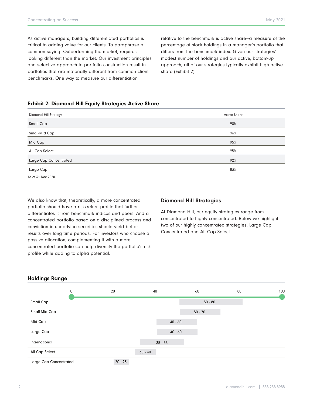As active managers, building differentiated portfolios is critical to adding value for our clients. To paraphrase a common saying: Outperforming the market, requires looking different than the market. Our investment principles and selective approach to portfolio construction result in portfolios that are materially different from common client benchmarks. One way to measure our differentiation

relative to the benchmark is active share—a measure of the percentage of stock holdings in a manager's portfolio that differs from the benchmark index. Given our strategies' modest number of holdings and our active, bottom-up approach, all of our strategies typically exhibit high active share (Exhibit 2).

## Exhibit 2: Diamond Hill Equity Strategies Active Share

| <b>Diamond Hill Strategy</b> | <b>Active Share</b> |
|------------------------------|---------------------|
| Small Cap                    | 98%                 |
| Small-Mid Cap                | 96%                 |
| Mid Cap                      | 95%                 |
| All Cap Select               | 95%                 |
| Large Cap Concentrated       | 92%                 |
| Large Cap                    | 83%                 |
|                              |                     |

As of 31 Dec 2020.

We also know that, theoretically, a more concentrated portfolio should have a risk/return profile that further differentiates it from benchmark indices and peers. And a concentrated portfolio based on a disciplined process and conviction in underlying securities should yield better results over long time periods. For investors who choose a passive allocation, complementing it with a more concentrated portfolio can help diversify the portfolio's risk profile while adding to alpha potential.

#### Diamond Hill Strategies

At Diamond Hill, our equity strategies range from concentrated to highly concentrated. Below we highlight two of our highly concentrated strategies: Large Cap Concentrated and All Cap Select.

## Holdings Range

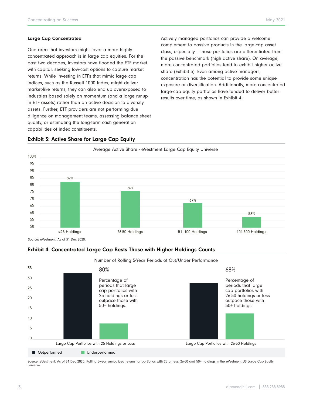#### Large Cap Concentrated

One area that investors might favor a more highly concentrated approach is in large cap equities. For the past two decades, investors have flooded the ETF market with capital, seeking low-cost options to capture market returns. While investing in ETFs that mimic large cap indices, such as the Russell 1000 Index, might deliver market-like returns, they can also end up overexposed to industries based solely on momentum (and a large runup in ETF assets) rather than an active decision to diversify assets. Further, ETF providers are not performing due diligence on management teams, assessing balance sheet quality, or estimating the long-term cash generation capabilities of index constituents.

Actively managed portfolios can provide a welcome complement to passive products in the large-cap asset class, especially if those portfolios are differentiated from the passive benchmark (high active share). On average, more concentrated portfolios tend to exhibit higher active share (Exhibit 3). Even among active managers, concentration has the potential to provide some unique exposure or diversification. Additionally, more concentrated large-cap equity portfolios have tended to deliver better results over time, as shown in Exhibit 4.



## Exhibit 3: Active Share for Large Cap Equity

Source: eVestment. As of 31 Dec 2020.

# Exhibit 4: Concentrated Large Cap Bests Those with Higher Holdings Counts



Source: eVestment. As of 31 Dec 2020. Rolling 5-year annualized returns for portfolios with 25 or less, 26-50 and 50+ holdings in the eVestment US Large Cap Equity universe.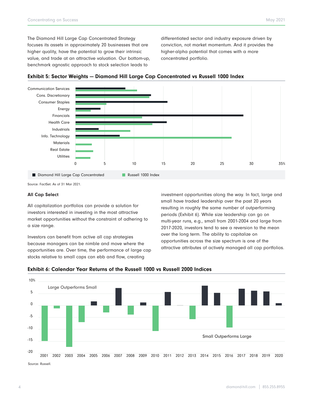The Diamond Hill Large Cap Concentrated Strategy focuses its assets in approximately 20 businesses that are higher quality, have the potential to grow their intrinsic value, and trade at an attractive valuation. Our bottom-up, benchmark agnostic approach to stock selection leads to

differentiated sector and industry exposure driven by conviction, not market momentum. And it provides the higher-alpha potential that comes with a more concentrated portfolio.





Source: FactSet. As of 31 Mar 2021.

#### All Cap Select

All capitalization portfolios can provide a solution for investors interested in investing in the most attractive market opportunities without the constraint of adhering to a size range.

Investors can benefit from active all cap strategies because managers can be nimble and move where the opportunities are. Over time, the performance of large cap stocks relative to small caps can ebb and flow, creating

investment opportunities along the way. In fact, large and small have traded leadership over the past 20 years resulting in roughly the same number of outperforming periods (Exhibit 6). While size leadership can go on multi-year runs, e.g., small from 2001-2004 and large from 2017-2020, investors tend to see a reversion to the mean over the long term. The ability to capitalize on opportunities across the size spectrum is one of the attractive attributes of actively managed all cap portfolios.



Exhibit 6: Calendar Year Returns of the Russell 1000 vs Russell 2000 Indices